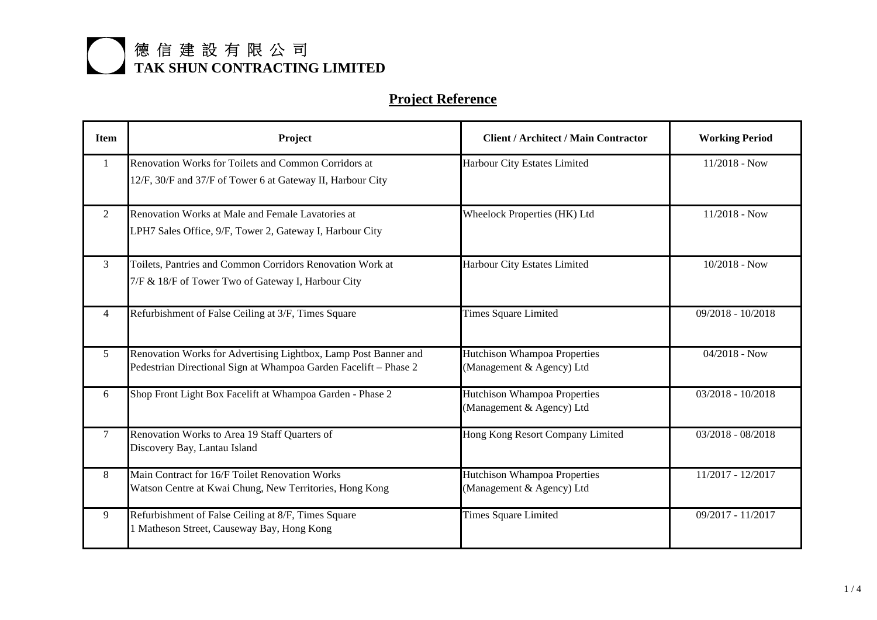| <b>Item</b>    | Project                                                                                                                             | <b>Client / Architect / Main Contractor</b>                      | <b>Working Period</b> |
|----------------|-------------------------------------------------------------------------------------------------------------------------------------|------------------------------------------------------------------|-----------------------|
| $\mathbf{1}$   | Renovation Works for Toilets and Common Corridors at<br>12/F, 30/F and 37/F of Tower 6 at Gateway II, Harbour City                  | Harbour City Estates Limited                                     | $11/2018$ - Now       |
| $\overline{2}$ | Renovation Works at Male and Female Lavatories at<br>LPH7 Sales Office, 9/F, Tower 2, Gateway I, Harbour City                       | <b>Wheelock Properties (HK) Ltd</b>                              | $11/2018$ - Now       |
| 3              | Toilets, Pantries and Common Corridors Renovation Work at<br>7/F & 18/F of Tower Two of Gateway I, Harbour City                     | Harbour City Estates Limited                                     | $10/2018$ - Now       |
| 4              | Refurbishment of False Ceiling at 3/F, Times Square                                                                                 | <b>Times Square Limited</b>                                      | 09/2018 - 10/2018     |
| 5              | Renovation Works for Advertising Lightbox, Lamp Post Banner and<br>Pedestrian Directional Sign at Whampoa Garden Facelift - Phase 2 | <b>Hutchison Whampoa Properties</b><br>(Management & Agency) Ltd | $04/2018 - Now$       |
| 6              | Shop Front Light Box Facelift at Whampoa Garden - Phase 2                                                                           | Hutchison Whampoa Properties<br>(Management & Agency) Ltd        | $03/2018 - 10/2018$   |
| 7              | Renovation Works to Area 19 Staff Quarters of<br>Discovery Bay, Lantau Island                                                       | Hong Kong Resort Company Limited                                 | $03/2018 - 08/2018$   |
| 8              | Main Contract for 16/F Toilet Renovation Works<br>Watson Centre at Kwai Chung, New Territories, Hong Kong                           | Hutchison Whampoa Properties<br>(Management & Agency) Ltd        | 11/2017 - 12/2017     |
| 9              | Refurbishment of False Ceiling at 8/F, Times Square<br>1 Matheson Street, Causeway Bay, Hong Kong                                   | <b>Times Square Limited</b>                                      | 09/2017 - 11/2017     |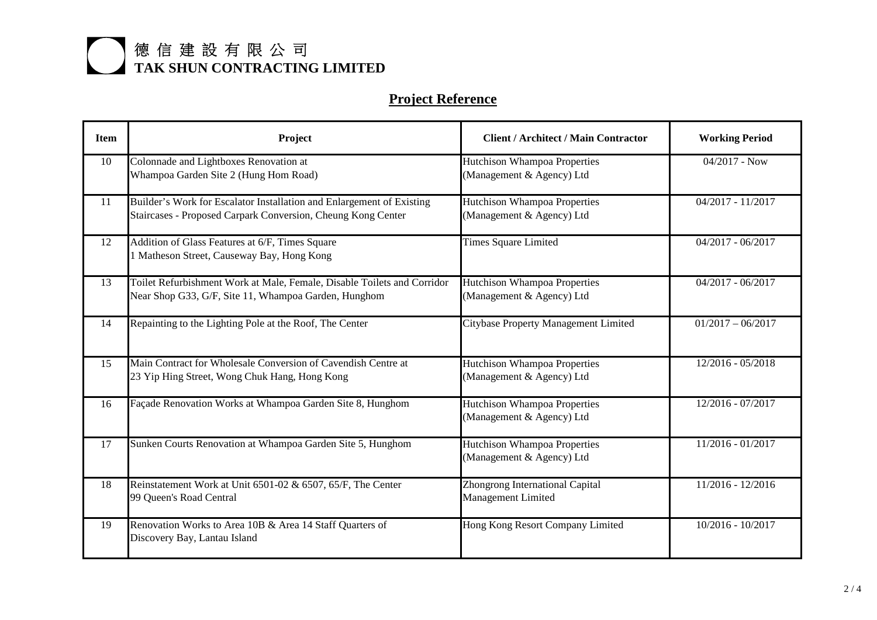| <b>Item</b> | Project                                                                                                                               | <b>Client / Architect / Main Contractor</b>                  | <b>Working Period</b> |
|-------------|---------------------------------------------------------------------------------------------------------------------------------------|--------------------------------------------------------------|-----------------------|
| 10          | Colonnade and Lightboxes Renovation at<br>Whampoa Garden Site 2 (Hung Hom Road)                                                       | Hutchison Whampoa Properties<br>(Management & Agency) Ltd    | $04/2017$ - Now       |
|             |                                                                                                                                       |                                                              |                       |
| 11          | Builder's Work for Escalator Installation and Enlargement of Existing<br>Staircases - Proposed Carpark Conversion, Cheung Kong Center | Hutchison Whampoa Properties<br>(Management & Agency) Ltd    | $04/2017 - 11/2017$   |
| 12          | Addition of Glass Features at 6/F, Times Square<br>1 Matheson Street, Causeway Bay, Hong Kong                                         | <b>Times Square Limited</b>                                  | $04/2017 - 06/2017$   |
| 13          | Toilet Refurbishment Work at Male, Female, Disable Toilets and Corridor<br>Near Shop G33, G/F, Site 11, Whampoa Garden, Hunghom       | Hutchison Whampoa Properties<br>(Management & Agency) Ltd    | $04/2017 - 06/2017$   |
| 14          | Repainting to the Lighting Pole at the Roof, The Center                                                                               | Citybase Property Management Limited                         | $01/2017 - 06/2017$   |
| 15          | Main Contract for Wholesale Conversion of Cavendish Centre at<br>23 Yip Hing Street, Wong Chuk Hang, Hong Kong                        | Hutchison Whampoa Properties<br>(Management & Agency) Ltd    | 12/2016 - 05/2018     |
| 16          | Façade Renovation Works at Whampoa Garden Site 8, Hunghom                                                                             | Hutchison Whampoa Properties<br>(Management & Agency) Ltd    | 12/2016 - 07/2017     |
| 17          | Sunken Courts Renovation at Whampoa Garden Site 5, Hunghom                                                                            | Hutchison Whampoa Properties<br>(Management & Agency) Ltd    | $11/2016 - 01/2017$   |
| 18          | Reinstatement Work at Unit 6501-02 & 6507, 65/F, The Center<br>99 Queen's Road Central                                                | <b>Zhongrong International Capital</b><br>Management Limited | $11/2016 - 12/2016$   |
| 19          | Renovation Works to Area 10B & Area 14 Staff Quarters of<br>Discovery Bay, Lantau Island                                              | <b>Hong Kong Resort Company Limited</b>                      | $10/2016 - 10/2017$   |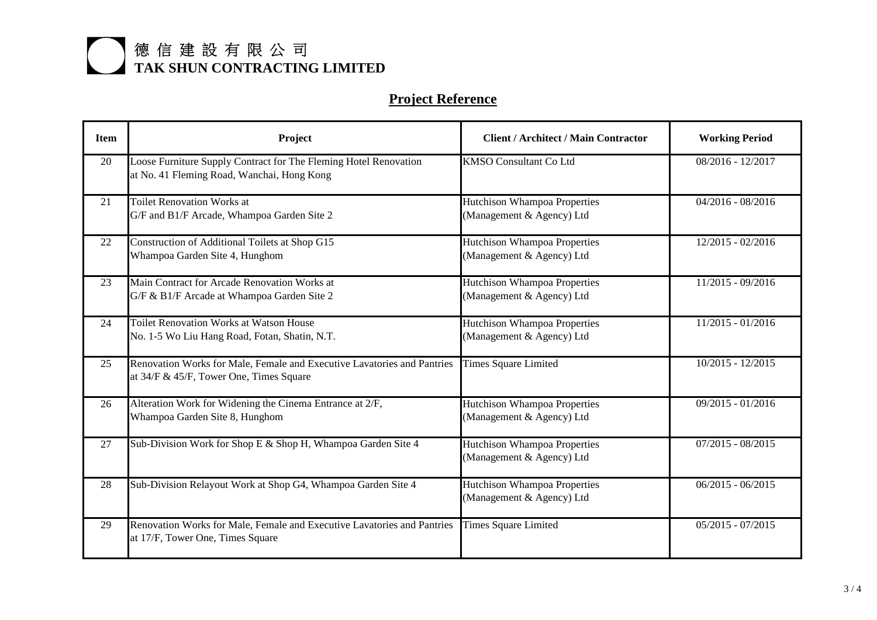| <b>Item</b> | Project                                                                                                            | <b>Client / Architect / Main Contractor</b>                      | <b>Working Period</b> |
|-------------|--------------------------------------------------------------------------------------------------------------------|------------------------------------------------------------------|-----------------------|
| 20          | Loose Furniture Supply Contract for The Fleming Hotel Renovation<br>at No. 41 Fleming Road, Wanchai, Hong Kong     | <b>KMSO Consultant Co Ltd</b>                                    | 08/2016 - 12/2017     |
| 21          | <b>Toilet Renovation Works at</b><br>G/F and B1/F Arcade, Whampoa Garden Site 2                                    | Hutchison Whampoa Properties<br>(Management & Agency) Ltd        | $04/2016 - 08/2016$   |
| 22          | Construction of Additional Toilets at Shop G15<br>Whampoa Garden Site 4, Hunghom                                   | <b>Hutchison Whampoa Properties</b><br>(Management & Agency) Ltd | 12/2015 - 02/2016     |
| 23          | Main Contract for Arcade Renovation Works at<br>G/F & B1/F Arcade at Whampoa Garden Site 2                         | Hutchison Whampoa Properties<br>(Management & Agency) Ltd        | $11/2015 - 09/2016$   |
| 24          | <b>Toilet Renovation Works at Watson House</b><br>No. 1-5 Wo Liu Hang Road, Fotan, Shatin, N.T.                    | <b>Hutchison Whampoa Properties</b><br>(Management & Agency) Ltd | $11/2015 - 01/2016$   |
| 25          | Renovation Works for Male, Female and Executive Lavatories and Pantries<br>at 34/F & 45/F, Tower One, Times Square | <b>Times Square Limited</b>                                      | $10/2015 - 12/2015$   |
| 26          | Alteration Work for Widening the Cinema Entrance at 2/F,<br>Whampoa Garden Site 8, Hunghom                         | Hutchison Whampoa Properties<br>(Management & Agency) Ltd        | $09/2015 - 01/2016$   |
| 27          | Sub-Division Work for Shop E & Shop H, Whampoa Garden Site 4                                                       | Hutchison Whampoa Properties<br>(Management & Agency) Ltd        | $07/2015 - 08/2015$   |
| 28          | Sub-Division Relayout Work at Shop G4, Whampoa Garden Site 4                                                       | Hutchison Whampoa Properties<br>(Management & Agency) Ltd        | $06/2015 - 06/2015$   |
| 29          | Renovation Works for Male, Female and Executive Lavatories and Pantries<br>at 17/F, Tower One, Times Square        | <b>Times Square Limited</b>                                      | $05/2015 - 07/2015$   |